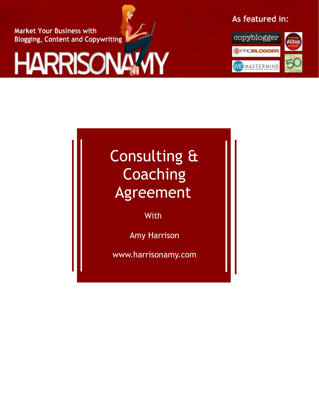**Market Your Business with Blogging, Content and Copywriting** 

# **HARRISONA'N**

As featured in:



## Consulting & **Coaching** Agreement

With

Amy Harrison

www.harrisonamy.com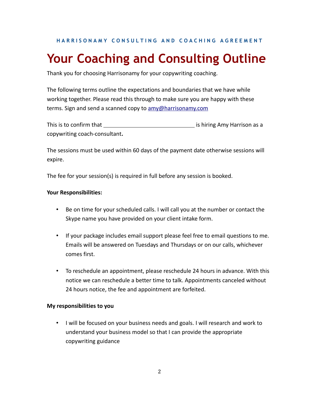**HARRISONAMY CONSULTING AND COACHING AGREEMENT** 

### **Your Coaching and Consulting Outline**

Thank you for choosing Harrisonamy for your copywriting coaching.

The following terms outline the expectations and boundaries that we have while working together. Please read this through to make sure you are happy with these terms. Sign and send a scanned copy to [amy@harrisonamy.com](mailto:amy@harrisonamy.com)

This is to confirm that is hiring Amy Harrison as a copywriting coach-consultant**.**

The sessions must be used within 60 days of the payment date otherwise sessions will expire.

The fee for your session(s) is required in full before any session is booked.

#### **Your Responsibilities:**

- Be on time for your scheduled calls. I will call you at the number or contact the Skype name you have provided on your client intake form.
- If your package includes email support please feel free to email questions to me. Emails will be answered on Tuesdays and Thursdays or on our calls, whichever comes first.
- To reschedule an appointment, please reschedule 24 hours in advance. With this notice we can reschedule a better time to talk. Appointments canceled without 24 hours notice, the fee and appointment are forfeited.

#### **My responsibilities to you**

• I will be focused on your business needs and goals. I will research and work to understand your business model so that I can provide the appropriate copywriting guidance